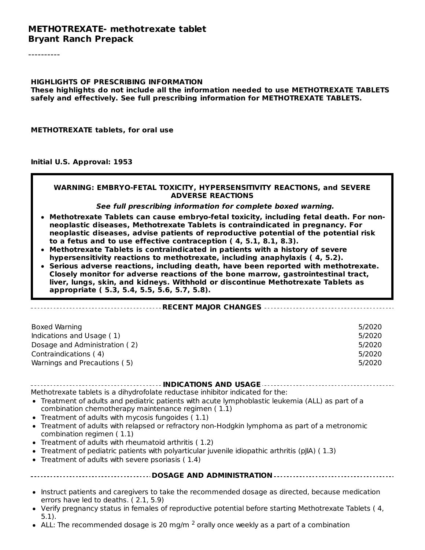#### **METHOTREXATE- methotrexate tablet Bryant Ranch Prepack**

----------

#### **HIGHLIGHTS OF PRESCRIBING INFORMATION**

**These highlights do not include all the information needed to use METHOTREXATE TABLETS safely and effectively. See full prescribing information for METHOTREXATE TABLETS.**

**METHOTREXATE tablets, for oral use**

**Initial U.S. Approval: 1953**

#### **WARNING: EMBRYO-FETAL TOXICITY, HYPERSENSITIVITY REACTIONS, and SEVERE ADVERSE REACTIONS**

#### **See full prescribing information for complete boxed warning.**

- **Methotrexate Tablets can cause embryo-fetal toxicity, including fetal death. For nonneoplastic diseases, Methotrexate Tablets is contraindicated in pregnancy. For neoplastic diseases, advise patients of reproductive potential of the potential risk to a fetus and to use effective contraception ( 4, 5.1, 8.1, 8.3).**
- **Methotrexate Tablets is contraindicated in patients with a history of severe hypersensitivity reactions to methotrexate, including anaphylaxis ( 4, 5.2).**
- **Serious adverse reactions, including death, have been reported with methotrexate. Closely monitor for adverse reactions of the bone marrow, gastrointestinal tract, liver, lungs, skin, and kidneys. Withhold or discontinue Methotrexate Tablets as appropriate ( 5.3, 5.4, 5.5, 5.6, 5.7, 5.8).**

#### **RECENT MAJOR CHANGES**

| Boxed Warning                 | 5/2020 |
|-------------------------------|--------|
| Indications and Usage (1)     | 5/2020 |
| Dosage and Administration (2) | 5/2020 |
| Contraindications (4)         | 5/2020 |
| Warnings and Precautions (5)  | 5/2020 |

#### **INDICATIONS AND USAGE**

Methotrexate tablets is a dihydrofolate reductase inhibitor indicated for the:

- Treatment of adults and pediatric patients with acute lymphoblastic leukemia (ALL) as part of a combination chemotherapy maintenance regimen ( 1.1)
- Treatment of adults with mycosis fungoides ( 1.1)
- Treatment of adults with relapsed or refractory non-Hodgkin lymphoma as part of a metronomic combination regimen ( 1.1)
- Treatment of adults with rheumatoid arthritis ( 1.2)
- Treatment of pediatric patients with polyarticular juvenile idiopathic arthritis (pJIA) ( 1.3)
- Treatment of adults with severe psoriasis ( 1.4)

#### **DOSAGE AND ADMINISTRATION**

- Instruct patients and caregivers to take the recommended dosage as directed, because medication errors have led to deaths. ( 2.1, 5.9)
- Verify pregnancy status in females of reproductive potential before starting Methotrexate Tablets ( 4, 5.1).
- ALL: The recommended dosage is 20 mg/m  $^2$  orally once weekly as a part of a combination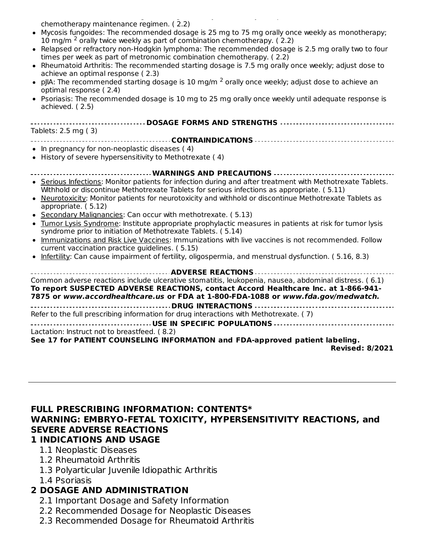ALL: The recommended dosage is 20 mg/m orally once we have as a part of a combination of a combination of a combination of a combination of a combination of a combination of a combination of a combination of a combination chemotherapy maintenance regimen. ( 2.2)

- Mycosis fungoides: The recommended dosage is 25 mg to 75 mg orally once weekly as monotherapy; 10 mg/m  $^2$  orally twice weekly as part of combination chemotherapy. (2.2)
- Relapsed or refractory non-Hodgkin lymphoma: The recommended dosage is 2.5 mg orally two to four times per week as part of metronomic combination chemotherapy. ( 2.2)
- Rheumatoid Arthritis: The recommended starting dosage is 7.5 mg orally once weekly; adjust dose to achieve an optimal response ( 2.3)
- pJIA: The recommended starting dosage is 10 mg/m  $^2$  orally once weekly; adjust dose to achieve an optimal response ( 2.4)
- Psoriasis: The recommended dosage is 10 mg to 25 mg orally once weekly until adequate response is achieved. ( 2.5)

| -----------------------------------                                                                                                                                                                                                                                                                                                                                                                                                                                                                                                                                                                                                                                                           |
|-----------------------------------------------------------------------------------------------------------------------------------------------------------------------------------------------------------------------------------------------------------------------------------------------------------------------------------------------------------------------------------------------------------------------------------------------------------------------------------------------------------------------------------------------------------------------------------------------------------------------------------------------------------------------------------------------|
| Tablets: 2.5 mg (3)                                                                                                                                                                                                                                                                                                                                                                                                                                                                                                                                                                                                                                                                           |
|                                                                                                                                                                                                                                                                                                                                                                                                                                                                                                                                                                                                                                                                                               |
| • In pregnancy for non-neoplastic diseases (4)                                                                                                                                                                                                                                                                                                                                                                                                                                                                                                                                                                                                                                                |
| • History of severe hypersensitivity to Methotrexate (4)                                                                                                                                                                                                                                                                                                                                                                                                                                                                                                                                                                                                                                      |
| <b>WARNINGS AND PRECAUTIONS</b>                                                                                                                                                                                                                                                                                                                                                                                                                                                                                                                                                                                                                                                               |
| • Serious Infections: Monitor patients for infection during and after treatment with Methotrexate Tablets.<br>Withhold or discontinue Methotrexate Tablets for serious infections as appropriate. (5.11)<br>• Neurotoxicity: Monitor patients for neurotoxicity and withhold or discontinue Methotrexate Tablets as<br>appropriate. (5.12)<br>• Secondary Malignancies: Can occur with methotrexate. (5.13)<br>• Tumor Lysis Syndrome: Institute appropriate prophylactic measures in patients at risk for tumor lysis<br>syndrome prior to initiation of Methotrexate Tablets. (5.14)<br>. Immunizations and Risk Live Vaccines: Immunizations with live vaccines is not recommended. Follow |
| current vaccination practice guidelines. (5.15)                                                                                                                                                                                                                                                                                                                                                                                                                                                                                                                                                                                                                                               |
| • Infertility: Can cause impairment of fertility, oligospermia, and menstrual dysfunction. (5.16, 8.3)                                                                                                                                                                                                                                                                                                                                                                                                                                                                                                                                                                                        |
|                                                                                                                                                                                                                                                                                                                                                                                                                                                                                                                                                                                                                                                                                               |
| Common adverse reactions include ulcerative stomatitis, leukopenia, nausea, abdominal distress. (6.1)<br>To report SUSPECTED ADVERSE REACTIONS, contact Accord Healthcare Inc. at 1-866-941-<br>7875 or www.accordhealthcare.us or FDA at 1-800-FDA-1088 or www.fda.gov/medwatch.                                                                                                                                                                                                                                                                                                                                                                                                             |
| Refer to the full prescribing information for drug interactions with Methotrexate. (7)                                                                                                                                                                                                                                                                                                                                                                                                                                                                                                                                                                                                        |
| USE IN SPECIFIC POPULATIONS                                                                                                                                                                                                                                                                                                                                                                                                                                                                                                                                                                                                                                                                   |
| Lactation: Instruct not to breastfeed. (8.2)                                                                                                                                                                                                                                                                                                                                                                                                                                                                                                                                                                                                                                                  |
| See 17 for PATIENT COUNSELING INFORMATION and FDA-approved patient labeling.                                                                                                                                                                                                                                                                                                                                                                                                                                                                                                                                                                                                                  |

**Revised: 8/2021**

### **FULL PRESCRIBING INFORMATION: CONTENTS\* WARNING: EMBRYO-FETAL TOXICITY, HYPERSENSITIVITY REACTIONS, and SEVERE ADVERSE REACTIONS**

### **1 INDICATIONS AND USAGE**

- 1.1 Neoplastic Diseases
- 1.2 Rheumatoid Arthritis
- 1.3 Polyarticular Juvenile Idiopathic Arthritis
- 1.4 Psoriasis

### **2 DOSAGE AND ADMINISTRATION**

- 2.1 Important Dosage and Safety Information
- 2.2 Recommended Dosage for Neoplastic Diseases
- 2.3 Recommended Dosage for Rheumatoid Arthritis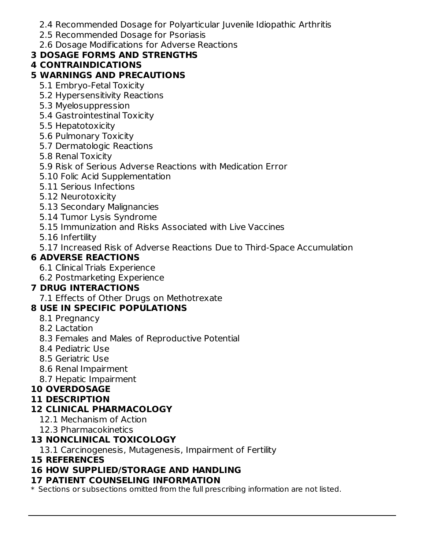- 2.4 Recommended Dosage for Polyarticular Juvenile Idiopathic Arthritis
- 2.5 Recommended Dosage for Psoriasis
- 2.6 Dosage Modifications for Adverse Reactions

### **3 DOSAGE FORMS AND STRENGTHS**

### **4 CONTRAINDICATIONS**

### **5 WARNINGS AND PRECAUTIONS**

- 5.1 Embryo-Fetal Toxicity
- 5.2 Hypersensitivity Reactions
- 5.3 Myelosuppression
- 5.4 Gastrointestinal Toxicity
- 5.5 Hepatotoxicity
- 5.6 Pulmonary Toxicity
- 5.7 Dermatologic Reactions
- 5.8 Renal Toxicity
- 5.9 Risk of Serious Adverse Reactions with Medication Error
- 5.10 Folic Acid Supplementation
- 5.11 Serious Infections
- 5.12 Neurotoxicity
- 5.13 Secondary Malignancies
- 5.14 Tumor Lysis Syndrome
- 5.15 Immunization and Risks Associated with Live Vaccines
- 5.16 Infertility
- 5.17 Increased Risk of Adverse Reactions Due to Third-Space Accumulation

### **6 ADVERSE REACTIONS**

- 6.1 Clinical Trials Experience
- 6.2 Postmarketing Experience

### **7 DRUG INTERACTIONS**

7.1 Effects of Other Drugs on Methotrexate

### **8 USE IN SPECIFIC POPULATIONS**

- 8.1 Pregnancy
- 8.2 Lactation
- 8.3 Females and Males of Reproductive Potential
- 8.4 Pediatric Use
- 8.5 Geriatric Use
- 8.6 Renal Impairment
- 8.7 Hepatic Impairment

### **10 OVERDOSAGE**

#### **11 DESCRIPTION**

### **12 CLINICAL PHARMACOLOGY**

- 12.1 Mechanism of Action
- 12.3 Pharmacokinetics

### **13 NONCLINICAL TOXICOLOGY**

- 13.1 Carcinogenesis, Mutagenesis, Impairment of Fertility
- **15 REFERENCES**

### **16 HOW SUPPLIED/STORAGE AND HANDLING**

#### **17 PATIENT COUNSELING INFORMATION**

\* Sections or subsections omitted from the full prescribing information are not listed.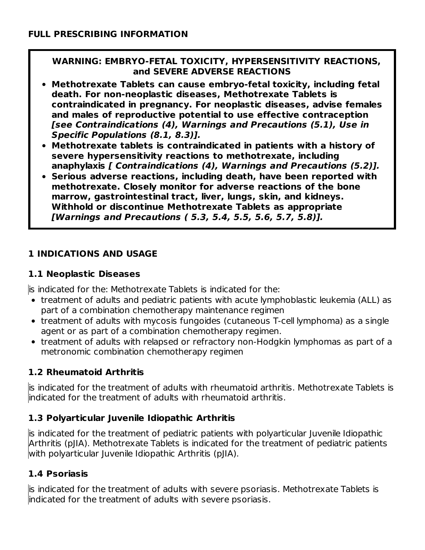#### **WARNING: EMBRYO-FETAL TOXICITY, HYPERSENSITIVITY REACTIONS, and SEVERE ADVERSE REACTIONS**

- **Methotrexate Tablets can cause embryo-fetal toxicity, including fetal death. For non-neoplastic diseases, Methotrexate Tablets is contraindicated in pregnancy. For neoplastic diseases, advise females and males of reproductive potential to use effective contraception [see Contraindications (4), Warnings and Precautions (5.1), Use in Specific Populations (8.1, 8.3)].**
- **Methotrexate tablets is contraindicated in patients with a history of severe hypersensitivity reactions to methotrexate, including anaphylaxis [ Contraindications (4), Warnings and Precautions (5.2)].**
- **Serious adverse reactions, including death, have been reported with methotrexate. Closely monitor for adverse reactions of the bone marrow, gastrointestinal tract, liver, lungs, skin, and kidneys. Withhold or discontinue Methotrexate Tablets as appropriate [Warnings and Precautions ( 5.3, 5.4, 5.5, 5.6, 5.7, 5.8)].**

### **1 INDICATIONS AND USAGE**

### **1.1 Neoplastic Diseases**

is indicated for the: Methotrexate Tablets is indicated for the:

- treatment of adults and pediatric patients with acute lymphoblastic leukemia (ALL) as part of a combination chemotherapy maintenance regimen
- treatment of adults with mycosis fungoides (cutaneous T-cell lymphoma) as a single agent or as part of a combination chemotherapy regimen.
- treatment of adults with relapsed or refractory non-Hodgkin lymphomas as part of a metronomic combination chemotherapy regimen

### **1.2 Rheumatoid Arthritis**

is indicated for the treatment of adults with rheumatoid arthritis. Methotrexate Tablets is indicated for the treatment of adults with rheumatoid arthritis.

### **1.3 Polyarticular Juvenile Idiopathic Arthritis**

is indicated for the treatment of pediatric patients with polyarticular Juvenile Idiopathic Arthritis (pJIA). Methotrexate Tablets is indicated for the treatment of pediatric patients with polyarticular Juvenile Idiopathic Arthritis (pJIA).

### **1.4 Psoriasis**

is indicated for the treatment of adults with severe psoriasis. Methotrexate Tablets is indicated for the treatment of adults with severe psoriasis.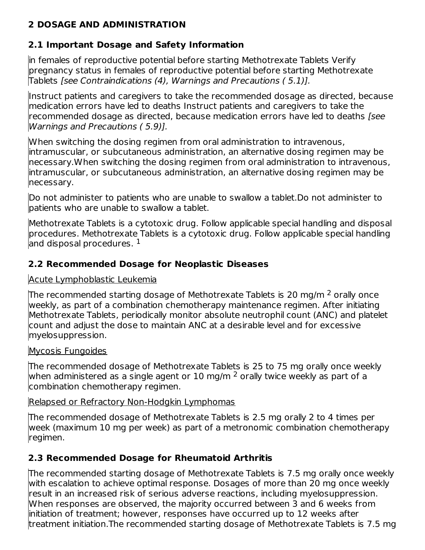### **2 DOSAGE AND ADMINISTRATION**

### **2.1 Important Dosage and Safety Information**

in females of reproductive potential before starting Methotrexate Tablets Verify pregnancy status in females of reproductive potential before starting Methotrexate Tablets [see Contraindications (4), Warnings and Precautions ( 5.1)].

Instruct patients and caregivers to take the recommended dosage as directed, because medication errors have led to deaths Instruct patients and caregivers to take the recommended dosage as directed, because medication errors have led to deaths [see Warnings and Precautions ( 5.9)].

When switching the dosing regimen from oral administration to intravenous, intramuscular, or subcutaneous administration, an alternative dosing regimen may be necessary.When switching the dosing regimen from oral administration to intravenous, intramuscular, or subcutaneous administration, an alternative dosing regimen may be necessary.

Do not administer to patients who are unable to swallow a tablet.Do not administer to patients who are unable to swallow a tablet.

Methotrexate Tablets is a cytotoxic drug. Follow applicable special handling and disposal procedures. Methotrexate Tablets is a cytotoxic drug. Follow applicable special handling and disposal procedures.  $^{\rm 1}$ 

### **2.2 Recommended Dosage for Neoplastic Diseases**

### Acute Lymphoblastic Leukemia

The recommended starting dosage of Methotrexate Tablets is 20 mg/m <sup>2</sup> orally once weekly, as part of a combination chemotherapy maintenance regimen. After initiating Methotrexate Tablets, periodically monitor absolute neutrophil count (ANC) and platelet count and adjust the dose to maintain ANC at a desirable level and for excessive myelosuppression.

### Mycosis Fungoides

The recommended dosage of Methotrexate Tablets is 25 to 75 mg orally once weekly when administered as a single agent or  $10$  mg/m  $^2$  orally twice weekly as part of a combination chemotherapy regimen.

### Relapsed or Refractory Non-Hodgkin Lymphomas

The recommended dosage of Methotrexate Tablets is 2.5 mg orally 2 to 4 times per week (maximum 10 mg per week) as part of a metronomic combination chemotherapy regimen.

### **2.3 Recommended Dosage for Rheumatoid Arthritis**

The recommended starting dosage of Methotrexate Tablets is 7.5 mg orally once weekly with escalation to achieve optimal response. Dosages of more than 20 mg once weekly result in an increased risk of serious adverse reactions, including myelosuppression. When responses are observed, the majority occurred between 3 and 6 weeks from initiation of treatment; however, responses have occurred up to 12 weeks after treatment initiation.The recommended starting dosage of Methotrexate Tablets is 7.5 mg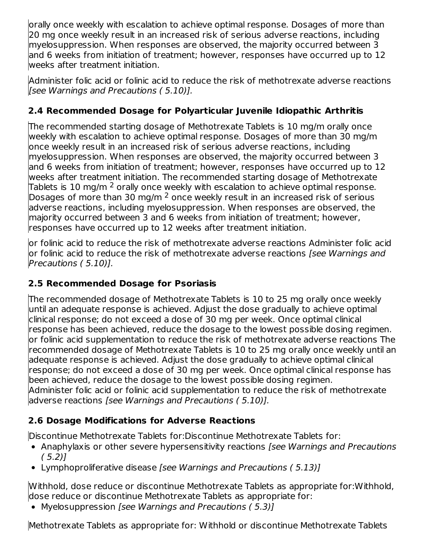orally once weekly with escalation to achieve optimal response. Dosages of more than 20 mg once weekly result in an increased risk of serious adverse reactions, including myelosuppression. When responses are observed, the majority occurred between 3 and 6 weeks from initiation of treatment; however, responses have occurred up to 12 weeks after treatment initiation.

Administer folic acid or folinic acid to reduce the risk of methotrexate adverse reactions [see Warnings and Precautions ( 5.10)].

### **2.4 Recommended Dosage for Polyarticular Juvenile Idiopathic Arthritis**

The recommended starting dosage of Methotrexate Tablets is 10 mg/m orally once weekly with escalation to achieve optimal response. Dosages of more than 30 mg/m once weekly result in an increased risk of serious adverse reactions, including myelosuppression. When responses are observed, the majority occurred between 3 and 6 weeks from initiation of treatment; however, responses have occurred up to 12 weeks after treatment initiation. The recommended starting dosage of Methotrexate Tablets is 10 mg/m  $^2$  orally once weekly with escalation to achieve optimal response. Dosages of more than 30 mg/m  $^2$  once weekly result in an increased risk of serious adverse reactions, including myelosuppression. When responses are observed, the majority occurred between 3 and 6 weeks from initiation of treatment; however, responses have occurred up to 12 weeks after treatment initiation.

or folinic acid to reduce the risk of methotrexate adverse reactions Administer folic acid or folinic acid to reduce the risk of methotrexate adverse reactions *[see Warnings and* Precautions ( 5.10)].

### **2.5 Recommended Dosage for Psoriasis**

The recommended dosage of Methotrexate Tablets is 10 to 25 mg orally once weekly until an adequate response is achieved. Adjust the dose gradually to achieve optimal clinical response; do not exceed a dose of 30 mg per week. Once optimal clinical response has been achieved, reduce the dosage to the lowest possible dosing regimen. or folinic acid supplementation to reduce the risk of methotrexate adverse reactions The recommended dosage of Methotrexate Tablets is 10 to 25 mg orally once weekly until an adequate response is achieved. Adjust the dose gradually to achieve optimal clinical response; do not exceed a dose of 30 mg per week. Once optimal clinical response has been achieved, reduce the dosage to the lowest possible dosing regimen. Administer folic acid or folinic acid supplementation to reduce the risk of methotrexate adverse reactions [see Warnings and Precautions ( 5.10)].

### **2.6 Dosage Modifications for Adverse Reactions**

Discontinue Methotrexate Tablets for:Discontinue Methotrexate Tablets for:

- Anaphylaxis or other severe hypersensitivity reactions [see Warnings and Precautions  $(5.2)$ ]
- Lymphoproliferative disease [see Warnings and Precautions (5.13)]

Withhold, dose reduce or discontinue Methotrexate Tablets as appropriate for:Withhold, dose reduce or discontinue Methotrexate Tablets as appropriate for:

• Myelosuppression [see Warnings and Precautions (5.3)]

Methotrexate Tablets as appropriate for: Withhold or discontinue Methotrexate Tablets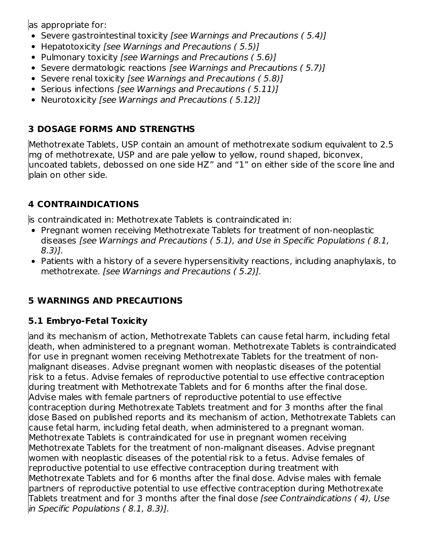as appropriate for:

- Severe gastrointestinal toxicity [see Warnings and Precautions (5.4)]
- Hepatotoxicity [see Warnings and Precautions (5.5)]
- Pulmonary toxicity [see Warnings and Precautions (5.6)]
- Severe dermatologic reactions [see Warnings and Precautions (5.7)]
- Severe renal toxicity [see Warnings and Precautions (5.8)]
- Serious infections [see Warnings and Precautions (5.11)]
- Neurotoxicity [see Warnings and Precautions (5.12)]

### **3 DOSAGE FORMS AND STRENGTHS**

Methotrexate Tablets, USP contain an amount of methotrexate sodium equivalent to 2.5 mg of methotrexate, USP and are pale yellow to yellow, round shaped, biconvex, uncoated tablets, debossed on one side HZ" and "1" on either side of the score line and plain on other side.

# **4 CONTRAINDICATIONS**

is contraindicated in: Methotrexate Tablets is contraindicated in:

- Pregnant women receiving Methotrexate Tablets for treatment of non-neoplastic diseases [see Warnings and Precautions ( 5.1), and Use in Specific Populations ( 8.1, 8.3)].
- Patients with a history of a severe hypersensitivity reactions, including anaphylaxis, to methotrexate. [see Warnings and Precautions ( 5.2)].

# **5 WARNINGS AND PRECAUTIONS**

# **5.1 Embryo-Fetal Toxicity**

and its mechanism of action, Methotrexate Tablets can cause fetal harm, including fetal death, when administered to a pregnant woman. Methotrexate Tablets is contraindicated for use in pregnant women receiving Methotrexate Tablets for the treatment of nonmalignant diseases. Advise pregnant women with neoplastic diseases of the potential risk to a fetus. Advise females of reproductive potential to use effective contraception during treatment with Methotrexate Tablets and for 6 months after the final dose. Advise males with female partners of reproductive potential to use effective contraception during Methotrexate Tablets treatment and for 3 months after the final dose Based on published reports and its mechanism of action, Methotrexate Tablets can cause fetal harm, including fetal death, when administered to a pregnant woman. Methotrexate Tablets is contraindicated for use in pregnant women receiving Methotrexate Tablets for the treatment of non-malignant diseases. Advise pregnant women with neoplastic diseases of the potential risk to a fetus. Advise females of reproductive potential to use effective contraception during treatment with Methotrexate Tablets and for 6 months after the final dose. Advise males with female partners of reproductive potential to use effective contraception during Methotrexate Tablets treatment and for 3 months after the final dose [see Contraindications ( 4), Use in Specific Populations ( 8.1, 8.3)].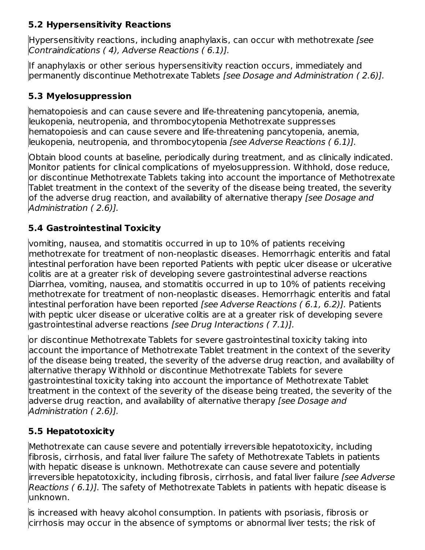### **5.2 Hypersensitivity Reactions**

Hypersensitivity reactions, including anaphylaxis, can occur with methotrexate [see Contraindications ( 4), Adverse Reactions ( 6.1)].

If anaphylaxis or other serious hypersensitivity reaction occurs, immediately and permanently discontinue Methotrexate Tablets [see Dosage and Administration ( 2.6)].

### **5.3 Myelosuppression**

hematopoiesis and can cause severe and life-threatening pancytopenia, anemia, leukopenia, neutropenia, and thrombocytopenia Methotrexate suppresses hematopoiesis and can cause severe and life-threatening pancytopenia, anemia, leukopenia, neutropenia, and thrombocytopenia [see Adverse Reactions ( 6.1)].

Obtain blood counts at baseline, periodically during treatment, and as clinically indicated. Monitor patients for clinical complications of myelosuppression. Withhold, dose reduce, or discontinue Methotrexate Tablets taking into account the importance of Methotrexate Tablet treatment in the context of the severity of the disease being treated, the severity of the adverse drug reaction, and availability of alternative therapy [see Dosage and Administration ( 2.6)].

### **5.4 Gastrointestinal Toxicity**

vomiting, nausea, and stomatitis occurred in up to 10% of patients receiving methotrexate for treatment of non-neoplastic diseases. Hemorrhagic enteritis and fatal intestinal perforation have been reported Patients with peptic ulcer disease or ulcerative colitis are at a greater risk of developing severe gastrointestinal adverse reactions Diarrhea, vomiting, nausea, and stomatitis occurred in up to 10% of patients receiving methotrexate for treatment of non-neoplastic diseases. Hemorrhagic enteritis and fatal lintestinal perforation have been reported *[see Adverse Reactions (6.1, 6.2)].* Patients with peptic ulcer disease or ulcerative colitis are at a greater risk of developing severe gastrointestinal adverse reactions [see Drug Interactions ( 7.1)].

lor discontinue Methotrexate Tablets for severe gastrointestinal toxicity taking into account the importance of Methotrexate Tablet treatment in the context of the severity of the disease being treated, the severity of the adverse drug reaction, and availability of alternative therapy Withhold or discontinue Methotrexate Tablets for severe gastrointestinal toxicity taking into account the importance of Methotrexate Tablet treatment in the context of the severity of the disease being treated, the severity of the adverse drug reaction, and availability of alternative therapy *[see Dosage and* Administration ( 2.6)].

### **5.5 Hepatotoxicity**

Methotrexate can cause severe and potentially irreversible hepatotoxicity, including fibrosis, cirrhosis, and fatal liver failure The safety of Methotrexate Tablets in patients with hepatic disease is unknown. Methotrexate can cause severe and potentially irreversible hepatotoxicity, including fibrosis, cirrhosis, and fatal liver failure [see Adverse Reactions (6.1)]. The safety of Methotrexate Tablets in patients with hepatic disease is unknown.

is increased with heavy alcohol consumption. In patients with psoriasis, fibrosis or cirrhosis may occur in the absence of symptoms or abnormal liver tests; the risk of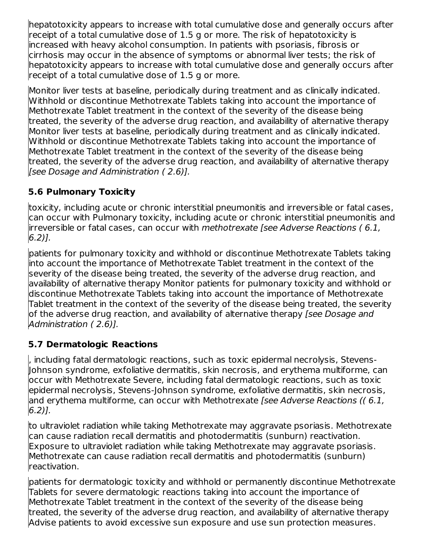hepatotoxicity appears to increase with total cumulative dose and generally occurs after receipt of a total cumulative dose of 1.5 g or more. The risk of hepatotoxicity is increased with heavy alcohol consumption. In patients with psoriasis, fibrosis or cirrhosis may occur in the absence of symptoms or abnormal liver tests; the risk of hepatotoxicity appears to increase with total cumulative dose and generally occurs after receipt of a total cumulative dose of 1.5 g or more.

Monitor liver tests at baseline, periodically during treatment and as clinically indicated. Withhold or discontinue Methotrexate Tablets taking into account the importance of Methotrexate Tablet treatment in the context of the severity of the disease being treated, the severity of the adverse drug reaction, and availability of alternative therapy Monitor liver tests at baseline, periodically during treatment and as clinically indicated. Withhold or discontinue Methotrexate Tablets taking into account the importance of Methotrexate Tablet treatment in the context of the severity of the disease being treated, the severity of the adverse drug reaction, and availability of alternative therapy [see Dosage and Administration ( 2.6)].

### **5.6 Pulmonary Toxicity**

toxicity, including acute or chronic interstitial pneumonitis and irreversible or fatal cases, can occur with Pulmonary toxicity, including acute or chronic interstitial pneumonitis and irreversible or fatal cases, can occur with methotrexate [see Adverse Reactions ( 6.1, 6.2)].

patients for pulmonary toxicity and withhold or discontinue Methotrexate Tablets taking into account the importance of Methotrexate Tablet treatment in the context of the severity of the disease being treated, the severity of the adverse drug reaction, and availability of alternative therapy Monitor patients for pulmonary toxicity and withhold or discontinue Methotrexate Tablets taking into account the importance of Methotrexate Tablet treatment in the context of the severity of the disease being treated, the severity of the adverse drug reaction, and availability of alternative therapy *[see Dosage and* Administration ( 2.6)].

### **5.7 Dermatologic Reactions**

, including fatal dermatologic reactions, such as toxic epidermal necrolysis, Stevens-Johnson syndrome, exfoliative dermatitis, skin necrosis, and erythema multiforme, can occur with Methotrexate Severe, including fatal dermatologic reactions, such as toxic epidermal necrolysis, Stevens-Johnson syndrome, exfoliative dermatitis, skin necrosis, and erythema multiforme, can occur with Methotrexate [see Adverse Reactions (( 6.1, 6.2)].

to ultraviolet radiation while taking Methotrexate may aggravate psoriasis. Methotrexate can cause radiation recall dermatitis and photodermatitis (sunburn) reactivation. Exposure to ultraviolet radiation while taking Methotrexate may aggravate psoriasis. Methotrexate can cause radiation recall dermatitis and photodermatitis (sunburn) reactivation.

patients for dermatologic toxicity and withhold or permanently discontinue Methotrexate Tablets for severe dermatologic reactions taking into account the importance of Methotrexate Tablet treatment in the context of the severity of the disease being treated, the severity of the adverse drug reaction, and availability of alternative therapy Advise patients to avoid excessive sun exposure and use sun protection measures.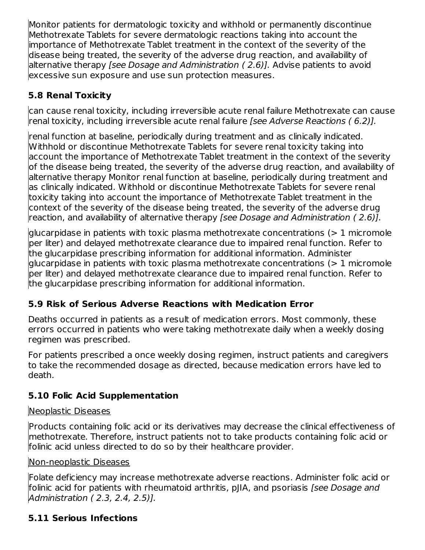Monitor patients for dermatologic toxicity and withhold or permanently discontinue Methotrexate Tablets for severe dermatologic reactions taking into account the importance of Methotrexate Tablet treatment in the context of the severity of the disease being treated, the severity of the adverse drug reaction, and availability of alternative therapy *[see Dosage and Administration (2.6)]*. Advise patients to avoid excessive sun exposure and use sun protection measures.

### **5.8 Renal Toxicity**

can cause renal toxicity, including irreversible acute renal failure Methotrexate can cause renal toxicity, including irreversible acute renal failure [see Adverse Reactions ( 6.2)].

renal function at baseline, periodically during treatment and as clinically indicated. Withhold or discontinue Methotrexate Tablets for severe renal toxicity taking into account the importance of Methotrexate Tablet treatment in the context of the severity of the disease being treated, the severity of the adverse drug reaction, and availability of alternative therapy Monitor renal function at baseline, periodically during treatment and as clinically indicated. Withhold or discontinue Methotrexate Tablets for severe renal toxicity taking into account the importance of Methotrexate Tablet treatment in the context of the severity of the disease being treated, the severity of the adverse drug reaction, and availability of alternative therapy [see Dosage and Administration (2.6)].

glucarpidase in patients with toxic plasma methotrexate concentrations (> 1 micromole per liter) and delayed methotrexate clearance due to impaired renal function. Refer to the glucarpidase prescribing information for additional information. Administer glucarpidase in patients with toxic plasma methotrexate concentrations (> 1 micromole per liter) and delayed methotrexate clearance due to impaired renal function. Refer to the glucarpidase prescribing information for additional information.

### **5.9 Risk of Serious Adverse Reactions with Medication Error**

Deaths occurred in patients as a result of medication errors. Most commonly, these errors occurred in patients who were taking methotrexate daily when a weekly dosing regimen was prescribed.

For patients prescribed a once weekly dosing regimen, instruct patients and caregivers to take the recommended dosage as directed, because medication errors have led to death.

### **5.10 Folic Acid Supplementation**

### Neoplastic Diseases

Products containing folic acid or its derivatives may decrease the clinical effectiveness of methotrexate. Therefore, instruct patients not to take products containing folic acid or folinic acid unless directed to do so by their healthcare provider.

#### Non-neoplastic Diseases

Folate deficiency may increase methotrexate adverse reactions. Administer folic acid or folinic acid for patients with rheumatoid arthritis, pJIA, and psoriasis [see Dosage and Administration ( 2.3, 2.4, 2.5)].

### **5.11 Serious Infections**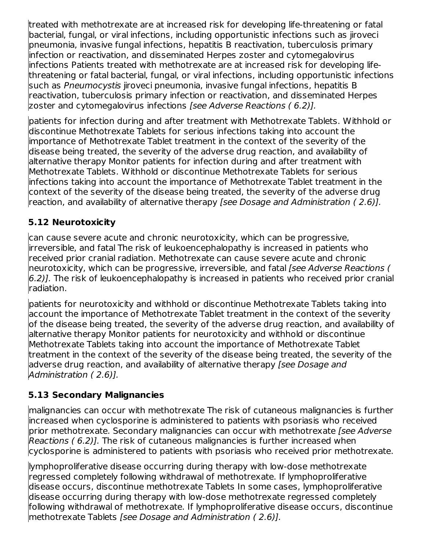treated with methotrexate are at increased risk for developing life-threatening or fatal bacterial, fungal, or viral infections, including opportunistic infections such as jiroveci pneumonia, invasive fungal infections, hepatitis B reactivation, tuberculosis primary infection or reactivation, and disseminated Herpes zoster and cytomegalovirus infections Patients treated with methotrexate are at increased risk for developing lifethreatening or fatal bacterial, fungal, or viral infections, including opportunistic infections such as Pneumocystis jiroveci pneumonia, invasive fungal infections, hepatitis B reactivation, tuberculosis primary infection or reactivation, and disseminated Herpes zoster and cytomegalovirus infections [see Adverse Reactions ( 6.2)].

patients for infection during and after treatment with Methotrexate Tablets. Withhold or discontinue Methotrexate Tablets for serious infections taking into account the importance of Methotrexate Tablet treatment in the context of the severity of the disease being treated, the severity of the adverse drug reaction, and availability of alternative therapy Monitor patients for infection during and after treatment with Methotrexate Tablets. Withhold or discontinue Methotrexate Tablets for serious infections taking into account the importance of Methotrexate Tablet treatment in the context of the severity of the disease being treated, the severity of the adverse drug reaction, and availability of alternative therapy [see Dosage and Administration (2.6)].

### **5.12 Neurotoxicity**

can cause severe acute and chronic neurotoxicity, which can be progressive, irreversible, and fatal The risk of leukoencephalopathy is increased in patients who received prior cranial radiation. Methotrexate can cause severe acute and chronic neurotoxicity, which can be progressive, irreversible, and fatal [see Adverse Reactions ( 6.2)]. The risk of leukoencephalopathy is increased in patients who received prior cranial radiation.

patients for neurotoxicity and withhold or discontinue Methotrexate Tablets taking into account the importance of Methotrexate Tablet treatment in the context of the severity of the disease being treated, the severity of the adverse drug reaction, and availability of alternative therapy Monitor patients for neurotoxicity and withhold or discontinue Methotrexate Tablets taking into account the importance of Methotrexate Tablet treatment in the context of the severity of the disease being treated, the severity of the adverse drug reaction, and availability of alternative therapy [see Dosage and Administration ( 2.6)].

### **5.13 Secondary Malignancies**

malignancies can occur with methotrexate The risk of cutaneous malignancies is further increased when cyclosporine is administered to patients with psoriasis who received prior methotrexate. Secondary malignancies can occur with methotrexate [see Adverse Reactions ( 6.2)]. The risk of cutaneous malignancies is further increased when cyclosporine is administered to patients with psoriasis who received prior methotrexate.

lymphoproliferative disease occurring during therapy with low-dose methotrexate regressed completely following withdrawal of methotrexate. If lymphoproliferative disease occurs, discontinue methotrexate Tablets In some cases, lymphoproliferative disease occurring during therapy with low-dose methotrexate regressed completely following withdrawal of methotrexate. If lymphoproliferative disease occurs, discontinue methotrexate Tablets [see Dosage and Administration ( 2.6)].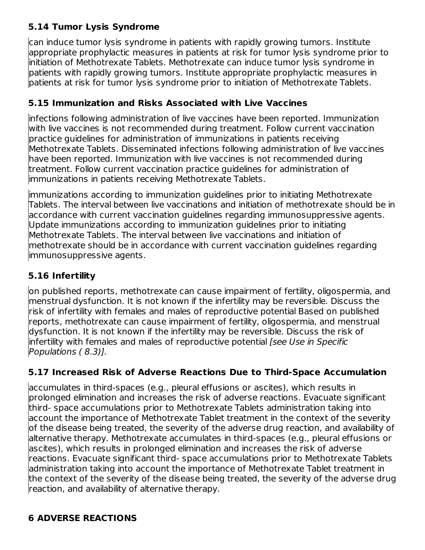### **5.14 Tumor Lysis Syndrome**

can induce tumor lysis syndrome in patients with rapidly growing tumors. Institute appropriate prophylactic measures in patients at risk for tumor lysis syndrome prior to initiation of Methotrexate Tablets. Methotrexate can induce tumor lysis syndrome in patients with rapidly growing tumors. Institute appropriate prophylactic measures in patients at risk for tumor lysis syndrome prior to initiation of Methotrexate Tablets.

### **5.15 Immunization and Risks Associated with Live Vaccines**

infections following administration of live vaccines have been reported. Immunization with live vaccines is not recommended during treatment. Follow current vaccination practice guidelines for administration of immunizations in patients receiving Methotrexate Tablets. Disseminated infections following administration of live vaccines have been reported. Immunization with live vaccines is not recommended during treatment. Follow current vaccination practice guidelines for administration of immunizations in patients receiving Methotrexate Tablets.

immunizations according to immunization guidelines prior to initiating Methotrexate Tablets. The interval between live vaccinations and initiation of methotrexate should be in accordance with current vaccination guidelines regarding immunosuppressive agents. Update immunizations according to immunization guidelines prior to initiating Methotrexate Tablets. The interval between live vaccinations and initiation of methotrexate should be in accordance with current vaccination guidelines regarding immunosuppressive agents.

### **5.16 Infertility**

on published reports, methotrexate can cause impairment of fertility, oligospermia, and menstrual dysfunction. It is not known if the infertility may be reversible. Discuss the risk of infertility with females and males of reproductive potential Based on published reports, methotrexate can cause impairment of fertility, oligospermia, and menstrual dysfunction. It is not known if the infertility may be reversible. Discuss the risk of infertility with females and males of reproductive potential [see Use in Specific Populations ( 8.3)].

### **5.17 Increased Risk of Adverse Reactions Due to Third-Space Accumulation**

accumulates in third-spaces (e.g., pleural effusions or ascites), which results in prolonged elimination and increases the risk of adverse reactions. Evacuate significant third- space accumulations prior to Methotrexate Tablets administration taking into account the importance of Methotrexate Tablet treatment in the context of the severity of the disease being treated, the severity of the adverse drug reaction, and availability of alternative therapy. Methotrexate accumulates in third-spaces (e.g., pleural effusions or ascites), which results in prolonged elimination and increases the risk of adverse reactions. Evacuate significant third- space accumulations prior to Methotrexate Tablets administration taking into account the importance of Methotrexate Tablet treatment in the context of the severity of the disease being treated, the severity of the adverse drug reaction, and availability of alternative therapy.

### **6 ADVERSE REACTIONS**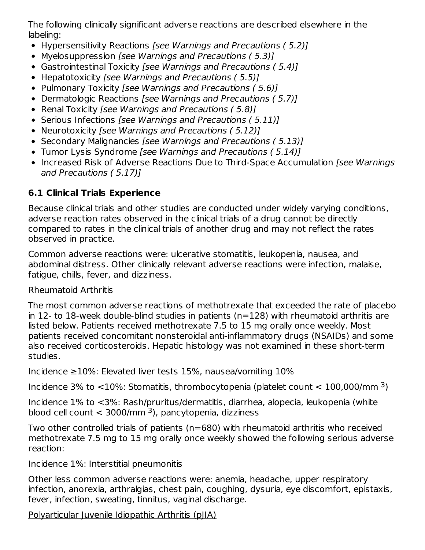The following clinically significant adverse reactions are described elsewhere in the labeling:

- Hypersensitivity Reactions *[see Warnings and Precautions (5.2)]*
- Myelosuppression [see Warnings and Precautions (5.3)]
- Gastrointestinal Toxicity [see Warnings and Precautions (5.4)]
- Hepatotoxicity [see Warnings and Precautions (5.5)]
- Pulmonary Toxicity [see Warnings and Precautions (5.6)]
- Dermatologic Reactions [see Warnings and Precautions (5.7)]
- Renal Toxicity *[see Warnings and Precautions (5.8)]*
- Serious Infections [see Warnings and Precautions (5.11)]
- Neurotoxicity [see Warnings and Precautions (5.12)]
- Secondary Malignancies [see Warnings and Precautions (5.13)]
- Tumor Lysis Syndrome [see Warnings and Precautions (5.14)]
- Increased Risk of Adverse Reactions Due to Third-Space Accumulation [see Warnings] and Precautions ( 5.17)]

### **6.1 Clinical Trials Experience**

Because clinical trials and other studies are conducted under widely varying conditions, adverse reaction rates observed in the clinical trials of a drug cannot be directly compared to rates in the clinical trials of another drug and may not reflect the rates observed in practice.

Common adverse reactions were: ulcerative stomatitis, leukopenia, nausea, and abdominal distress. Other clinically relevant adverse reactions were infection, malaise, fatigue, chills, fever, and dizziness.

### Rheumatoid Arthritis

The most common adverse reactions of methotrexate that exceeded the rate of placebo in 12- to 18-week double-blind studies in patients (n=128) with rheumatoid arthritis are listed below. Patients received methotrexate 7.5 to 15 mg orally once weekly. Most patients received concomitant nonsteroidal anti-inflammatory drugs (NSAIDs) and some also received corticosteroids. Hepatic histology was not examined in these short-term studies.

Incidence ≥10%: Elevated liver tests 15%, nausea/vomiting 10%

Incidence 3% to  $<$ 10%: Stomatitis, thrombocytopenia (platelet count  $<$  100,000/mm <sup>3</sup>)

Incidence 1% to <3%: Rash/pruritus/dermatitis, diarrhea, alopecia, leukopenia (white blood cell count  $<$  3000/mm <sup>3</sup>), pancytopenia, dizziness

Two other controlled trials of patients (n=680) with rheumatoid arthritis who received methotrexate 7.5 mg to 15 mg orally once weekly showed the following serious adverse reaction:

Incidence 1%: Interstitial pneumonitis

Other less common adverse reactions were: anemia, headache, upper respiratory infection, anorexia, arthralgias, chest pain, coughing, dysuria, eye discomfort, epistaxis, fever, infection, sweating, tinnitus, vaginal discharge.

Polyarticular Juvenile Idiopathic Arthritis (pJIA)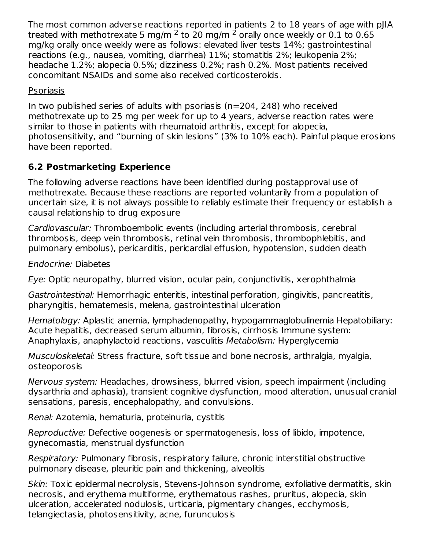The most common adverse reactions reported in patients 2 to 18 years of age with pJIA treated with methotrexate 5 mg/m <sup>2</sup> to 20 mg/m <sup>2</sup> orally once weekly or 0.1 to 0.65 mg/kg orally once weekly were as follows: elevated liver tests 14%; gastrointestinal reactions (e.g., nausea, vomiting, diarrhea) 11%; stomatitis 2%; leukopenia 2%; headache 1.2%; alopecia 0.5%; dizziness 0.2%; rash 0.2%. Most patients received concomitant NSAIDs and some also received corticosteroids.

Psoriasis

In two published series of adults with psoriasis (n=204, 248) who received methotrexate up to 25 mg per week for up to 4 years, adverse reaction rates were similar to those in patients with rheumatoid arthritis, except for alopecia, photosensitivity, and "burning of skin lesions" (3% to 10% each). Painful plaque erosions have been reported.

### **6.2 Postmarketing Experience**

The following adverse reactions have been identified during postapproval use of methotrexate. Because these reactions are reported voluntarily from a population of uncertain size, it is not always possible to reliably estimate their frequency or establish a causal relationship to drug exposure

Cardiovascular: Thromboembolic events (including arterial thrombosis, cerebral thrombosis, deep vein thrombosis, retinal vein thrombosis, thrombophlebitis, and pulmonary embolus), pericarditis, pericardial effusion, hypotension, sudden death

Endocrine: Diabetes

Eye: Optic neuropathy, blurred vision, ocular pain, conjunctivitis, xerophthalmia

Gastrointestinal: Hemorrhagic enteritis, intestinal perforation, gingivitis, pancreatitis, pharyngitis, hematemesis, melena, gastrointestinal ulceration

Hematology: Aplastic anemia, lymphadenopathy, hypogammaglobulinemia Hepatobiliary: Acute hepatitis, decreased serum albumin, fibrosis, cirrhosis Immune system: Anaphylaxis, anaphylactoid reactions, vasculitis Metabolism: Hyperglycemia

Musculoskeletal: Stress fracture, soft tissue and bone necrosis, arthralgia, myalgia, osteoporosis

Nervous system: Headaches, drowsiness, blurred vision, speech impairment (including dysarthria and aphasia), transient cognitive dysfunction, mood alteration, unusual cranial sensations, paresis, encephalopathy, and convulsions.

Renal: Azotemia, hematuria, proteinuria, cystitis

Reproductive: Defective oogenesis or spermatogenesis, loss of libido, impotence, gynecomastia, menstrual dysfunction

Respiratory: Pulmonary fibrosis, respiratory failure, chronic interstitial obstructive pulmonary disease, pleuritic pain and thickening, alveolitis

Skin: Toxic epidermal necrolysis, Stevens-Johnson syndrome, exfoliative dermatitis, skin necrosis, and erythema multiforme, erythematous rashes, pruritus, alopecia, skin ulceration, accelerated nodulosis, urticaria, pigmentary changes, ecchymosis, telangiectasia, photosensitivity, acne, furunculosis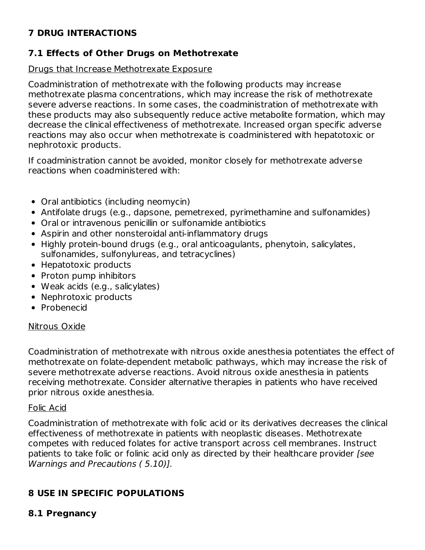### **7 DRUG INTERACTIONS**

### **7.1 Effects of Other Drugs on Methotrexate**

#### Drugs that Increase Methotrexate Exposure

Coadministration of methotrexate with the following products may increase methotrexate plasma concentrations, which may increase the risk of methotrexate severe adverse reactions. In some cases, the coadministration of methotrexate with these products may also subsequently reduce active metabolite formation, which may decrease the clinical effectiveness of methotrexate. Increased organ specific adverse reactions may also occur when methotrexate is coadministered with hepatotoxic or nephrotoxic products.

If coadministration cannot be avoided, monitor closely for methotrexate adverse reactions when coadministered with:

- Oral antibiotics (including neomycin)
- Antifolate drugs (e.g., dapsone, pemetrexed, pyrimethamine and sulfonamides)
- Oral or intravenous penicillin or sulfonamide antibiotics
- Aspirin and other nonsteroidal anti-inflammatory drugs
- Highly protein-bound drugs (e.g., oral anticoagulants, phenytoin, salicylates, sulfonamides, sulfonylureas, and tetracyclines)
- Hepatotoxic products
- Proton pump inhibitors
- Weak acids (e.g., salicylates)
- Nephrotoxic products
- Probenecid

#### Nitrous Oxide

Coadministration of methotrexate with nitrous oxide anesthesia potentiates the effect of methotrexate on folate-dependent metabolic pathways, which may increase the risk of severe methotrexate adverse reactions. Avoid nitrous oxide anesthesia in patients receiving methotrexate. Consider alternative therapies in patients who have received prior nitrous oxide anesthesia.

#### Folic Acid

Coadministration of methotrexate with folic acid or its derivatives decreases the clinical effectiveness of methotrexate in patients with neoplastic diseases. Methotrexate competes with reduced folates for active transport across cell membranes. Instruct patients to take folic or folinic acid only as directed by their healthcare provider [see Warnings and Precautions ( 5.10)].

### **8 USE IN SPECIFIC POPULATIONS**

#### **8.1 Pregnancy**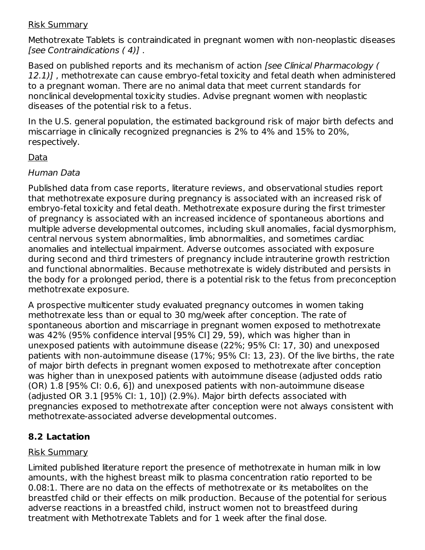#### Risk Summary

Methotrexate Tablets is contraindicated in pregnant women with non-neoplastic diseases [see Contraindications ( 4)] .

Based on published reports and its mechanism of action [see Clinical Pharmacology ( 12.1)], methotrexate can cause embryo-fetal toxicity and fetal death when administered to a pregnant woman. There are no animal data that meet current standards for nonclinical developmental toxicity studies. Advise pregnant women with neoplastic diseases of the potential risk to a fetus.

In the U.S. general population, the estimated background risk of major birth defects and miscarriage in clinically recognized pregnancies is 2% to 4% and 15% to 20%, respectively.

### Data

### Human Data

Published data from case reports, literature reviews, and observational studies report that methotrexate exposure during pregnancy is associated with an increased risk of embryo-fetal toxicity and fetal death. Methotrexate exposure during the first trimester of pregnancy is associated with an increased incidence of spontaneous abortions and multiple adverse developmental outcomes, including skull anomalies, facial dysmorphism, central nervous system abnormalities, limb abnormalities, and sometimes cardiac anomalies and intellectual impairment. Adverse outcomes associated with exposure during second and third trimesters of pregnancy include intrauterine growth restriction and functional abnormalities. Because methotrexate is widely distributed and persists in the body for a prolonged period, there is a potential risk to the fetus from preconception methotrexate exposure.

A prospective multicenter study evaluated pregnancy outcomes in women taking methotrexate less than or equal to 30 mg/week after conception. The rate of spontaneous abortion and miscarriage in pregnant women exposed to methotrexate was 42% (95% confidence interval [95% CI] 29, 59), which was higher than in unexposed patients with autoimmune disease (22%; 95% CI: 17, 30) and unexposed patients with non-autoimmune disease (17%; 95% CI: 13, 23). Of the live births, the rate of major birth defects in pregnant women exposed to methotrexate after conception was higher than in unexposed patients with autoimmune disease (adjusted odds ratio (OR) 1.8 [95% CI: 0.6, 6]) and unexposed patients with non-autoimmune disease (adjusted OR 3.1 [95% CI: 1, 10]) (2.9%). Major birth defects associated with pregnancies exposed to methotrexate after conception were not always consistent with methotrexate-associated adverse developmental outcomes.

### **8.2 Lactation**

### Risk Summary

Limited published literature report the presence of methotrexate in human milk in low amounts, with the highest breast milk to plasma concentration ratio reported to be 0.08:1. There are no data on the effects of methotrexate or its metabolites on the breastfed child or their effects on milk production. Because of the potential for serious adverse reactions in a breastfed child, instruct women not to breastfeed during treatment with Methotrexate Tablets and for 1 week after the final dose.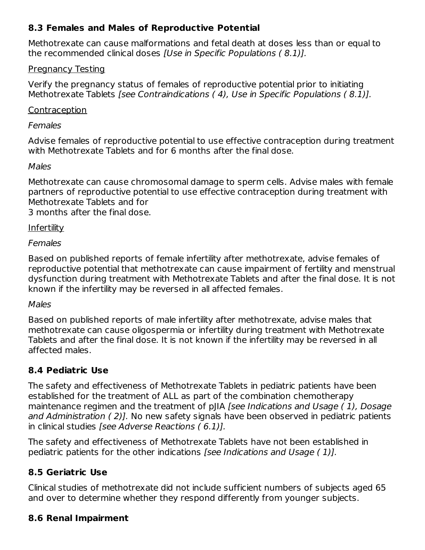### **8.3 Females and Males of Reproductive Potential**

Methotrexate can cause malformations and fetal death at doses less than or equal to the recommended clinical doses [Use in Specific Populations ( 8.1)].

#### Pregnancy Testing

Verify the pregnancy status of females of reproductive potential prior to initiating Methotrexate Tablets [see Contraindications ( 4), Use in Specific Populations ( 8.1)].

#### Contraception

#### Females

Advise females of reproductive potential to use effective contraception during treatment with Methotrexate Tablets and for 6 months after the final dose.

#### Males

Methotrexate can cause chromosomal damage to sperm cells. Advise males with female partners of reproductive potential to use effective contraception during treatment with Methotrexate Tablets and for

3 months after the final dose.

#### Infertility

#### Females

Based on published reports of female infertility after methotrexate, advise females of reproductive potential that methotrexate can cause impairment of fertility and menstrual dysfunction during treatment with Methotrexate Tablets and after the final dose. It is not known if the infertility may be reversed in all affected females.

#### Males

Based on published reports of male infertility after methotrexate, advise males that methotrexate can cause oligospermia or infertility during treatment with Methotrexate Tablets and after the final dose. It is not known if the infertility may be reversed in all affected males.

### **8.4 Pediatric Use**

The safety and effectiveness of Methotrexate Tablets in pediatric patients have been established for the treatment of ALL as part of the combination chemotherapy maintenance regimen and the treatment of pJIA [see Indications and Usage (1), Dosage and Administration ( 2)]. No new safety signals have been observed in pediatric patients in clinical studies [see Adverse Reactions ( 6.1)].

The safety and effectiveness of Methotrexate Tablets have not been established in pediatric patients for the other indications [see Indications and Usage ( 1)].

### **8.5 Geriatric Use**

Clinical studies of methotrexate did not include sufficient numbers of subjects aged 65 and over to determine whether they respond differently from younger subjects.

### **8.6 Renal Impairment**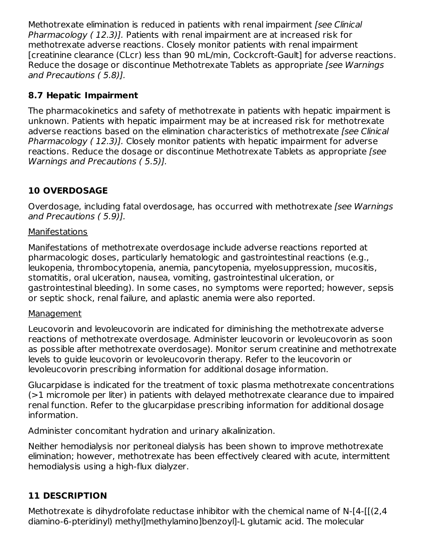Methotrexate elimination is reduced in patients with renal impairment (see Clinical Pharmacology (12.3)]. Patients with renal impairment are at increased risk for methotrexate adverse reactions. Closely monitor patients with renal impairment [creatinine clearance (CLcr) less than 90 mL/min, Cockcroft-Gault] for adverse reactions. Reduce the dosage or discontinue Methotrexate Tablets as appropriate [see Warnings] and Precautions ( 5.8)].

### **8.7 Hepatic Impairment**

The pharmacokinetics and safety of methotrexate in patients with hepatic impairment is unknown. Patients with hepatic impairment may be at increased risk for methotrexate adverse reactions based on the elimination characteristics of methotrexate *[see Clinical*] Pharmacology ( 12.3)]. Closely monitor patients with hepatic impairment for adverse reactions. Reduce the dosage or discontinue Methotrexate Tablets as appropriate [see Warnings and Precautions ( 5.5)].

### **10 OVERDOSAGE**

Overdosage, including fatal overdosage, has occurred with methotrexate [see Warnings] and Precautions ( 5.9)].

### **Manifestations**

Manifestations of methotrexate overdosage include adverse reactions reported at pharmacologic doses, particularly hematologic and gastrointestinal reactions (e.g., leukopenia, thrombocytopenia, anemia, pancytopenia, myelosuppression, mucositis, stomatitis, oral ulceration, nausea, vomiting, gastrointestinal ulceration, or gastrointestinal bleeding). In some cases, no symptoms were reported; however, sepsis or septic shock, renal failure, and aplastic anemia were also reported.

### **Management**

Leucovorin and levoleucovorin are indicated for diminishing the methotrexate adverse reactions of methotrexate overdosage. Administer leucovorin or levoleucovorin as soon as possible after methotrexate overdosage). Monitor serum creatinine and methotrexate levels to guide leucovorin or levoleucovorin therapy. Refer to the leucovorin or levoleucovorin prescribing information for additional dosage information.

Glucarpidase is indicated for the treatment of toxic plasma methotrexate concentrations (>1 micromole per liter) in patients with delayed methotrexate clearance due to impaired renal function. Refer to the glucarpidase prescribing information for additional dosage information.

Administer concomitant hydration and urinary alkalinization.

Neither hemodialysis nor peritoneal dialysis has been shown to improve methotrexate elimination; however, methotrexate has been effectively cleared with acute, intermittent hemodialysis using a high-flux dialyzer.

### **11 DESCRIPTION**

Methotrexate is dihydrofolate reductase inhibitor with the chemical name of N-[4-[[(2,4 diamino-6-pteridinyl) methyl]methylamino]benzoyl]-L glutamic acid. The molecular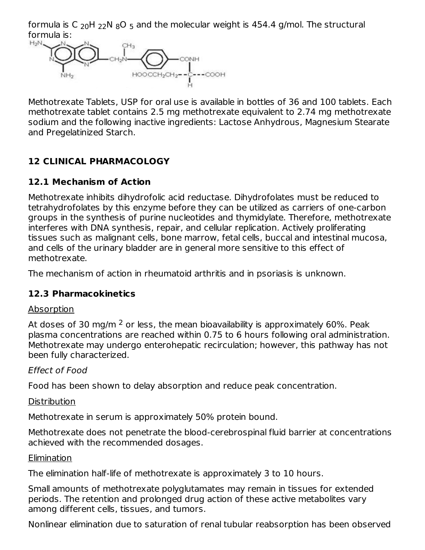formula is C  $_{20}$ H  $_{22}$ N  $_{8}$ O  $_{5}$  and the molecular weight is 454.4 g/mol. The structural formula is:



Methotrexate Tablets, USP for oral use is available in bottles of 36 and 100 tablets. Each methotrexate tablet contains 2.5 mg methotrexate equivalent to 2.74 mg methotrexate sodium and the following inactive ingredients: Lactose Anhydrous, Magnesium Stearate and Pregelatinized Starch.

### **12 CLINICAL PHARMACOLOGY**

### **12.1 Mechanism of Action**

Methotrexate inhibits dihydrofolic acid reductase. Dihydrofolates must be reduced to tetrahydrofolates by this enzyme before they can be utilized as carriers of one-carbon groups in the synthesis of purine nucleotides and thymidylate. Therefore, methotrexate interferes with DNA synthesis, repair, and cellular replication. Actively proliferating tissues such as malignant cells, bone marrow, fetal cells, buccal and intestinal mucosa, and cells of the urinary bladder are in general more sensitive to this effect of methotrexate.

The mechanism of action in rheumatoid arthritis and in psoriasis is unknown.

### **12.3 Pharmacokinetics**

### Absorption

At doses of 30 mg/m  $^2$  or less, the mean bioavailability is approximately 60%. Peak plasma concentrations are reached within 0.75 to 6 hours following oral administration. Methotrexate may undergo enterohepatic recirculation; however, this pathway has not been fully characterized.

### Effect of Food

Food has been shown to delay absorption and reduce peak concentration.

### **Distribution**

Methotrexate in serum is approximately 50% protein bound.

Methotrexate does not penetrate the blood-cerebrospinal fluid barrier at concentrations achieved with the recommended dosages.

### **Elimination**

The elimination half-life of methotrexate is approximately 3 to 10 hours.

Small amounts of methotrexate polyglutamates may remain in tissues for extended periods. The retention and prolonged drug action of these active metabolites vary among different cells, tissues, and tumors.

Nonlinear elimination due to saturation of renal tubular reabsorption has been observed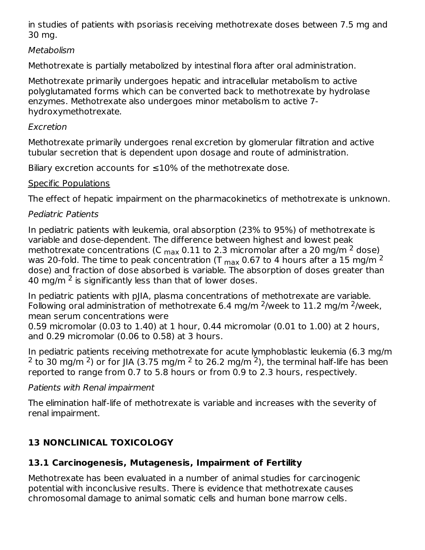in studies of patients with psoriasis receiving methotrexate doses between 7.5 mg and 30 mg.

### **Metabolism**

Methotrexate is partially metabolized by intestinal flora after oral administration.

Methotrexate primarily undergoes hepatic and intracellular metabolism to active polyglutamated forms which can be converted back to methotrexate by hydrolase enzymes. Methotrexate also undergoes minor metabolism to active 7 hydroxymethotrexate.

### Excretion

Methotrexate primarily undergoes renal excretion by glomerular filtration and active tubular secretion that is dependent upon dosage and route of administration.

Biliary excretion accounts for  $\leq 10\%$  of the methotrexate dose.

### Specific Populations

The effect of hepatic impairment on the pharmacokinetics of methotrexate is unknown.

### Pediatric Patients

In pediatric patients with leukemia, oral absorption (23% to 95%) of methotrexate is variable and dose-dependent. The difference between highest and lowest peak methotrexate concentrations (C  $_{\sf max}$  0.11 to 2.3 micromolar after a 20 mg/m <sup>2</sup> dose)<sub>.</sub> was 20-fold. The time to peak concentration (T  $_{\sf max}$  0.67 to 4 hours after a 15 mg/m <sup>2</sup> dose) and fraction of dose absorbed is variable. The absorption of doses greater than 40 mg/m  $^2$  is significantly less than that of lower doses.

In pediatric patients with pJIA, plasma concentrations of methotrexate are variable. Following oral administration of methotrexate 6.4 mg/m  $2$ /week to 11.2 mg/m  $2$ /week, mean serum concentrations were

0.59 micromolar (0.03 to 1.40) at 1 hour, 0.44 micromolar (0.01 to 1.00) at 2 hours, and 0.29 micromolar (0.06 to 0.58) at 3 hours.

In pediatric patients receiving methotrexate for acute lymphoblastic leukemia (6.3 mg/m <sup>2</sup> to 30 mg/m <sup>2</sup>) or for JIA (3.75 mg/m <sup>2</sup> to 26.2 mg/m <sup>2</sup>), the terminal half-life has been reported to range from 0.7 to 5.8 hours or from 0.9 to 2.3 hours, respectively.

### Patients with Renal impairment

The elimination half-life of methotrexate is variable and increases with the severity of renal impairment.

# **13 NONCLINICAL TOXICOLOGY**

### **13.1 Carcinogenesis, Mutagenesis, Impairment of Fertility**

Methotrexate has been evaluated in a number of animal studies for carcinogenic potential with inconclusive results. There is evidence that methotrexate causes chromosomal damage to animal somatic cells and human bone marrow cells.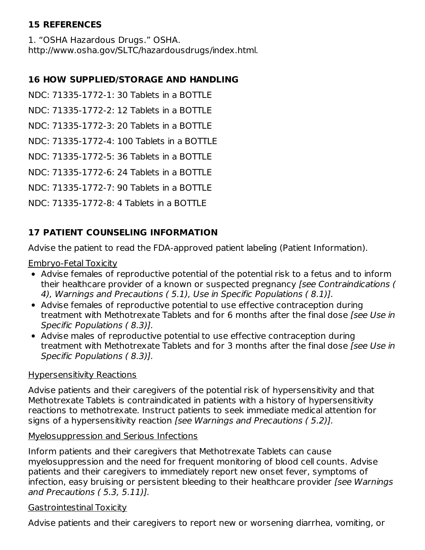### **15 REFERENCES**

1. "OSHA Hazardous Drugs." OSHA. http://www.osha.gov/SLTC/hazardousdrugs/index.html.

### **16 HOW SUPPLIED/STORAGE AND HANDLING**

NDC: 71335-1772-1: 30 Tablets in a BOTTLE

NDC: 71335-1772-2: 12 Tablets in a BOTTLE

NDC: 71335-1772-3: 20 Tablets in a BOTTLE

NDC: 71335-1772-4: 100 Tablets in a BOTTLE

NDC: 71335-1772-5: 36 Tablets in a BOTTLE

NDC: 71335-1772-6: 24 Tablets in a BOTTLE

NDC: 71335-1772-7: 90 Tablets in a BOTTLE

NDC: 71335-1772-8: 4 Tablets in a BOTTLE

### **17 PATIENT COUNSELING INFORMATION**

Advise the patient to read the FDA-approved patient labeling (Patient Information).

Embryo-Fetal Toxicity

- Advise females of reproductive potential of the potential risk to a fetus and to inform their healthcare provider of a known or suspected pregnancy [see Contraindications ( 4), Warnings and Precautions ( 5.1), Use in Specific Populations ( 8.1)].
- Advise females of reproductive potential to use effective contraception during treatment with Methotrexate Tablets and for 6 months after the final dose *[see Use in*] Specific Populations ( 8.3)].
- Advise males of reproductive potential to use effective contraception during treatment with Methotrexate Tablets and for 3 months after the final dose *[see Use in*] Specific Populations ( 8.3)].

### Hypersensitivity Reactions

Advise patients and their caregivers of the potential risk of hypersensitivity and that Methotrexate Tablets is contraindicated in patients with a history of hypersensitivity reactions to methotrexate. Instruct patients to seek immediate medical attention for signs of a hypersensitivity reaction [see Warnings and Precautions (5.2)].

#### Myelosuppression and Serious Infections

Inform patients and their caregivers that Methotrexate Tablets can cause myelosuppression and the need for frequent monitoring of blood cell counts. Advise patients and their caregivers to immediately report new onset fever, symptoms of infection, easy bruising or persistent bleeding to their healthcare provider [see Warnings and Precautions ( 5.3, 5.11)].

### Gastrointestinal Toxicity

Advise patients and their caregivers to report new or worsening diarrhea, vomiting, or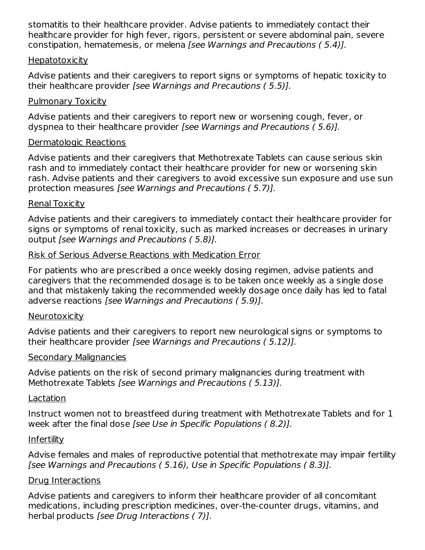stomatitis to their healthcare provider. Advise patients to immediately contact their healthcare provider for high fever, rigors, persistent or severe abdominal pain, severe constipation, hematemesis, or melena [see Warnings and Precautions ( 5.4)].

#### **Hepatotoxicity**

Advise patients and their caregivers to report signs or symptoms of hepatic toxicity to their healthcare provider [see Warnings and Precautions ( 5.5)].

#### Pulmonary Toxicity

Advise patients and their caregivers to report new or worsening cough, fever, or dyspnea to their healthcare provider [see Warnings and Precautions ( 5.6)].

#### Dermatologic Reactions

Advise patients and their caregivers that Methotrexate Tablets can cause serious skin rash and to immediately contact their healthcare provider for new or worsening skin rash. Advise patients and their caregivers to avoid excessive sun exposure and use sun protection measures [see Warnings and Precautions ( 5.7)].

#### Renal Toxicity

Advise patients and their caregivers to immediately contact their healthcare provider for signs or symptoms of renal toxicity, such as marked increases or decreases in urinary output [see Warnings and Precautions ( 5.8)].

#### Risk of Serious Adverse Reactions with Medication Error

For patients who are prescribed a once weekly dosing regimen, advise patients and caregivers that the recommended dosage is to be taken once weekly as a single dose and that mistakenly taking the recommended weekly dosage once daily has led to fatal adverse reactions [see Warnings and Precautions ( 5.9)].

#### **Neurotoxicity**

Advise patients and their caregivers to report new neurological signs or symptoms to their healthcare provider [see Warnings and Precautions ( 5.12)].

#### Secondary Malignancies

Advise patients on the risk of second primary malignancies during treatment with Methotrexate Tablets [see Warnings and Precautions ( 5.13)].

#### Lactation

Instruct women not to breastfeed during treatment with Methotrexate Tablets and for 1 week after the final dose [see Use in Specific Populations ( 8.2)].

#### Infertility

Advise females and males of reproductive potential that methotrexate may impair fertility [see Warnings and Precautions ( 5.16), Use in Specific Populations ( 8.3)].

#### Drug Interactions

Advise patients and caregivers to inform their healthcare provider of all concomitant medications, including prescription medicines, over-the-counter drugs, vitamins, and herbal products [see Drug Interactions ( 7)].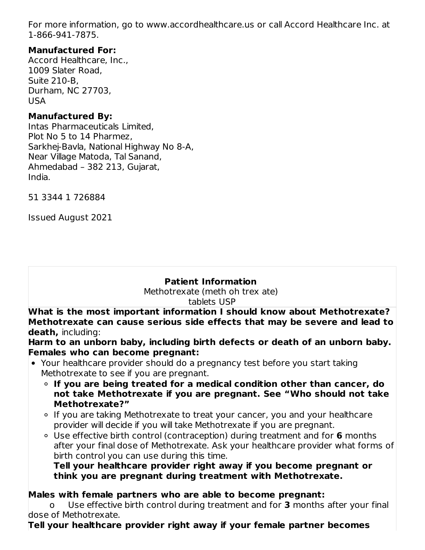For more information, go to www.accordhealthcare.us or call Accord Healthcare Inc. at 1-866-941-7875.

### **Manufactured For:**

Accord Healthcare, Inc., 1009 Slater Road, Suite 210-B, Durham, NC 27703, USA

#### **Manufactured By:**

Intas Pharmaceuticals Limited, Plot No 5 to 14 Pharmez, Sarkhej-Bavla, National Highway No 8-A, Near Village Matoda, Tal Sanand, Ahmedabad – 382 213, Gujarat, India.

51 3344 1 726884

Issued August 2021

#### **Patient Information**

Methotrexate (meth oh trex ate) tablets USP

**What is the most important information I should know about Methotrexate? Methotrexate can cause serious side effects that may be severe and lead to death,** including:

**Harm to an unborn baby, including birth defects or death of an unborn baby. Females who can become pregnant:**

- Your healthcare provider should do a pregnancy test before you start taking Methotrexate to see if you are pregnant.
	- **If you are being treated for a medical condition other than cancer, do not take Methotrexate if you are pregnant. See "Who should not take Methotrexate?"**
	- If you are taking Methotrexate to treat your cancer, you and your healthcare provider will decide if you will take Methotrexate if you are pregnant.
	- Use effective birth control (contraception) during treatment and for **6** months after your final dose of Methotrexate. Ask your healthcare provider what forms of birth control you can use during this time.

**Tell your healthcare provider right away if you become pregnant or think you are pregnant during treatment with Methotrexate.**

#### **Males with female partners who are able to become pregnant:**

o Use effective birth control during treatment and for **3** months after your final dose of Methotrexate.

#### **Tell your healthcare provider right away if your female partner becomes**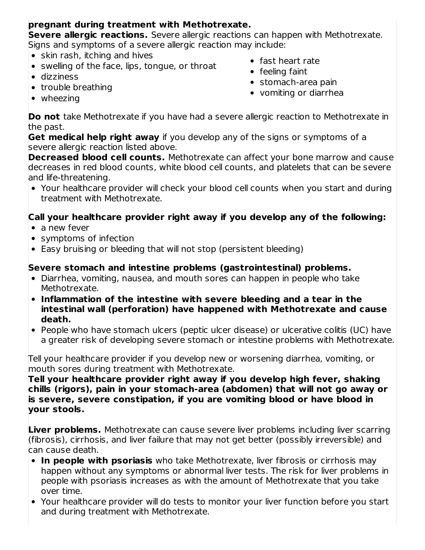### **pregnant during treatment with Methotrexate.**

**Severe allergic reactions.** Severe allergic reactions can happen with Methotrexate. Signs and symptoms of a severe allergic reaction may include:

- skin rash, itching and hives
- swelling of the face, lips, tongue, or throat
- dizziness
- trouble breathing
- fast heart rate
- feeling faint
- stomach-area pain
- vomiting or diarrhea

• wheezing

**Do not** take Methotrexate if you have had a severe allergic reaction to Methotrexate in the past.

**Get medical help right away** if you develop any of the signs or symptoms of a severe allergic reaction listed above.

**Decreased blood cell counts.** Methotrexate can affect your bone marrow and cause decreases in red blood counts, white blood cell counts, and platelets that can be severe and life-threatening.

Your healthcare provider will check your blood cell counts when you start and during treatment with Methotrexate.

### **Call your healthcare provider right away if you develop any of the following:**

- a new fever
- symptoms of infection
- Easy bruising or bleeding that will not stop (persistent bleeding)

### **Severe stomach and intestine problems (gastrointestinal) problems.**

- Diarrhea, vomiting, nausea, and mouth sores can happen in people who take Methotrexate.
- **Inflammation of the intestine with severe bleeding and a tear in the intestinal wall (perforation) have happened with Methotrexate and cause death.**
- People who have stomach ulcers (peptic ulcer disease) or ulcerative colitis (UC) have a greater risk of developing severe stomach or intestine problems with Methotrexate.

Tell your healthcare provider if you develop new or worsening diarrhea, vomiting, or mouth sores during treatment with Methotrexate.

**Tell your healthcare provider right away if you develop high fever, shaking chills (rigors), pain in your stomach-area (abdomen) that will not go away or is severe, severe constipation, if you are vomiting blood or have blood in your stools.**

**Liver problems.** Methotrexate can cause severe liver problems including liver scarring (fibrosis), cirrhosis, and liver failure that may not get better (possibly irreversible) and can cause death.

- **In people with psoriasis** who take Methotrexate, liver fibrosis or cirrhosis may happen without any symptoms or abnormal liver tests. The risk for liver problems in people with psoriasis increases as with the amount of Methotrexate that you take over time.
- Your healthcare provider will do tests to monitor your liver function before you start and during treatment with Methotrexate.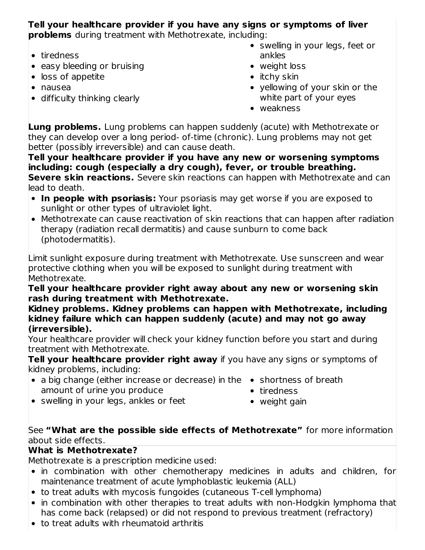# **Tell your healthcare provider if you have any signs or symptoms of liver**

**problems** during treatment with Methotrexate, including:

- tiredness
- easy bleeding or bruising
- loss of appetite
- nausea
- difficulty thinking clearly
- swelling in your legs, feet or ankles
- weight loss
- $\bullet$  itchy skin
- yellowing of your skin or the white part of your eyes
- weakness

**Lung problems.** Lung problems can happen suddenly (acute) with Methotrexate or they can develop over a long period- of-time (chronic). Lung problems may not get better (possibly irreversible) and can cause death.

**Tell your healthcare provider if you have any new or worsening symptoms including: cough (especially a dry cough), fever, or trouble breathing. Severe skin reactions.** Severe skin reactions can happen with Methotrexate and can lead to death.

- **In people with psoriasis:** Your psoriasis may get worse if you are exposed to sunlight or other types of ultraviolet light.
- Methotrexate can cause reactivation of skin reactions that can happen after radiation therapy (radiation recall dermatitis) and cause sunburn to come back (photodermatitis).

Limit sunlight exposure during treatment with Methotrexate. Use sunscreen and wear protective clothing when you will be exposed to sunlight during treatment with Methotrexate.

**Tell your healthcare provider right away about any new or worsening skin rash during treatment with Methotrexate.**

**Kidney problems. Kidney problems can happen with Methotrexate, including kidney failure which can happen suddenly (acute) and may not go away (irreversible).**

Your healthcare provider will check your kidney function before you start and during treatment with Methotrexate.

**Tell your healthcare provider right away** if you have any signs or symptoms of kidney problems, including:

- a big change (either increase or decrease) in the shortness of breath amount of urine you produce
- - tiredness
- swelling in your legs, ankles or feet
- weight gain

#### See **"What are the possible side effects of Methotrexate"** for more information about side effects.

### **What is Methotrexate?**

Methotrexate is a prescription medicine used:

- in combination with other chemotherapy medicines in adults and children, for maintenance treatment of acute lymphoblastic leukemia (ALL)
- to treat adults with mycosis fungoides (cutaneous T-cell lymphoma)
- in combination with other therapies to treat adults with non-Hodgkin lymphoma that has come back (relapsed) or did not respond to previous treatment (refractory)
- to treat adults with rheumatoid arthritis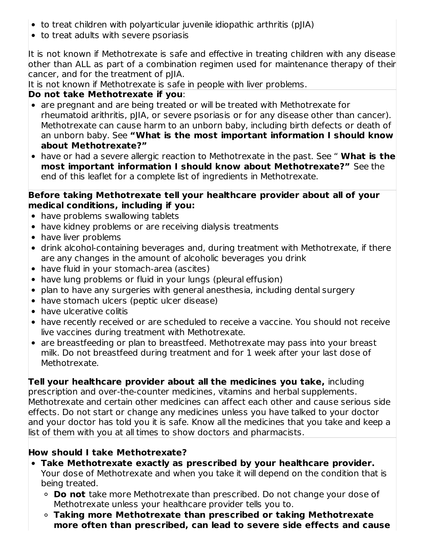- to treat children with polyarticular juvenile idiopathic arthritis (pJIA)
- to treat adults with severe psoriasis

It is not known if Methotrexate is safe and effective in treating children with any disease other than ALL as part of a combination regimen used for maintenance therapy of their cancer, and for the treatment of pJIA.

It is not known if Methotrexate is safe in people with liver problems.

### **Do not take Methotrexate if you**:

- are pregnant and are being treated or will be treated with Methotrexate for rheumatoid arithritis, pJIA, or severe psoriasis or for any disease other than cancer). Methotrexate can cause harm to an unborn baby, including birth defects or death of an unborn baby. See **"What is the most important information I should know about Methotrexate?"**
- have or had a severe allergic reaction to Methotrexate in the past. See " **What is the most important information I should know about Methotrexate?"** See the end of this leaflet for a complete list of ingredients in Methotrexate.

#### **Before taking Methotrexate tell your healthcare provider about all of your medical conditions, including if you:**

- have problems swallowing tablets
- have kidney problems or are receiving dialysis treatments
- have liver problems
- drink alcohol-containing beverages and, during treatment with Methotrexate, if there are any changes in the amount of alcoholic beverages you drink
- have fluid in your stomach-area (ascites)
- have lung problems or fluid in your lungs (pleural effusion)
- plan to have any surgeries with general anesthesia, including dental surgery
- have stomach ulcers (peptic ulcer disease)
- have ulcerative colitis
- have recently received or are scheduled to receive a vaccine. You should not receive live vaccines during treatment with Methotrexate.
- are breastfeeding or plan to breastfeed. Methotrexate may pass into your breast milk. Do not breastfeed during treatment and for 1 week after your last dose of Methotrexate.

**Tell your healthcare provider about all the medicines you take,** including

prescription and over-the-counter medicines, vitamins and herbal supplements. Methotrexate and certain other medicines can affect each other and cause serious side effects. Do not start or change any medicines unless you have talked to your doctor and your doctor has told you it is safe. Know all the medicines that you take and keep a list of them with you at all times to show doctors and pharmacists.

### **How should I take Methotrexate?**

- **Take Methotrexate exactly as prescribed by your healthcare provider.** Your dose of Methotrexate and when you take it will depend on the condition that is being treated.
	- **Do not** take more Methotrexate than prescribed. Do not change your dose of Methotrexate unless your healthcare provider tells you to.
	- **Taking more Methotrexate than prescribed or taking Methotrexate more often than prescribed, can lead to severe side effects and cause**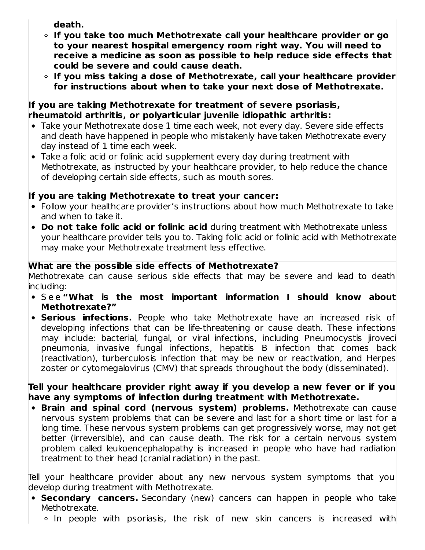**death.**

- **If you take too much Methotrexate call your healthcare provider or go to your nearest hospital emergency room right way. You will need to receive a medicine as soon as possible to help reduce side effects that could be severe and could cause death.**
- **If you miss taking a dose of Methotrexate, call your healthcare provider for instructions about when to take your next dose of Methotrexate.**

#### **If you are taking Methotrexate for treatment of severe psoriasis, rheumatoid arthritis, or polyarticular juvenile idiopathic arthritis:**

- Take your Methotrexate dose 1 time each week, not every day. Severe side effects and death have happened in people who mistakenly have taken Methotrexate every day instead of 1 time each week.
- Take a folic acid or folinic acid supplement every day during treatment with Methotrexate, as instructed by your healthcare provider, to help reduce the chance of developing certain side effects, such as mouth sores.

### **If you are taking Methotrexate to treat your cancer:**

- Follow your healthcare provider's instructions about how much Methotrexate to take and when to take it.
- **Do not take folic acid or folinic acid** during treatment with Methotrexate unless your healthcare provider tells you to. Taking folic acid or folinic acid with Methotrexate may make your Methotrexate treatment less effective.

### **What are the possible side effects of Methotrexate?**

Methotrexate can cause serious side effects that may be severe and lead to death including:

- S e e **"What is the most important information I should know about Methotrexate?"**
- **Serious infections.** People who take Methotrexate have an increased risk of developing infections that can be life-threatening or cause death. These infections may include: bacterial, fungal, or viral infections, including Pneumocystis jiroveci pneumonia, invasive fungal infections, hepatitis B infection that comes back (reactivation), turberculosis infection that may be new or reactivation, and Herpes zoster or cytomegalovirus (CMV) that spreads throughout the body (disseminated).

#### **Tell your healthcare provider right away if you develop a new fever or if you have any symptoms of infection during treatment with Methotrexate.**

**Brain and spinal cord (nervous system) problems.** Methotrexate can cause nervous system problems that can be severe and last for a short time or last for a long time. These nervous system problems can get progressively worse, may not get better (irreversible), and can cause death. The risk for a certain nervous system problem called leukoencephalopathy is increased in people who have had radiation treatment to their head (cranial radiation) in the past.

Tell your healthcare provider about any new nervous system symptoms that you develop during treatment with Methotrexate.

- **Secondary cancers.** Secondary (new) cancers can happen in people who take Methotrexate.
	- $\circ$  In people with psoriasis, the risk of new skin cancers is increased with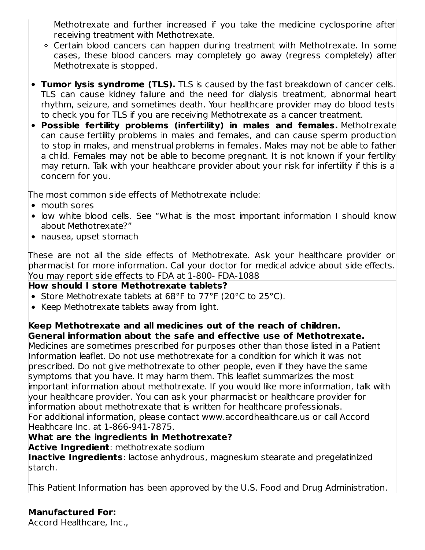Methotrexate and further increased if you take the medicine cyclosporine after receiving treatment with Methotrexate.

- Certain blood cancers can happen during treatment with Methotrexate. In some cases, these blood cancers may completely go away (regress completely) after Methotrexate is stopped.
- **Tumor lysis syndrome (TLS).** TLS is caused by the fast breakdown of cancer cells. TLS can cause kidney failure and the need for dialysis treatment, abnormal heart rhythm, seizure, and sometimes death. Your healthcare provider may do blood tests to check you for TLS if you are receiving Methotrexate as a cancer treatment.
- **Possible fertility problems (infertility) in males and females.** Methotrexate can cause fertility problems in males and females, and can cause sperm production to stop in males, and menstrual problems in females. Males may not be able to father a child. Females may not be able to become pregnant. It is not known if your fertility may return. Talk with your healthcare provider about your risk for infertility if this is a concern for you.

The most common side effects of Methotrexate include:

- mouth sores
- low white blood cells. See "What is the most important information I should know about Methotrexate?"
- nausea, upset stomach

These are not all the side effects of Methotrexate. Ask your healthcare provider or pharmacist for more information. Call your doctor for medical advice about side effects. You may report side effects to FDA at 1-800- FDA-1088

### **How should I store Methotrexate tablets?**

- Store Methotrexate tablets at 68°F to 77°F (20°C to 25°C).
- Keep Methotrexate tablets away from light.

# **Keep Methotrexate and all medicines out of the reach of children.**

**General information about the safe and effective use of Methotrexate.** Medicines are sometimes prescribed for purposes other than those listed in a Patient Information leaflet. Do not use methotrexate for a condition for which it was not prescribed. Do not give methotrexate to other people, even if they have the same symptoms that you have. It may harm them. This leaflet summarizes the most important information about methotrexate. If you would like more information, talk with your healthcare provider. You can ask your pharmacist or healthcare provider for information about methotrexate that is written for healthcare professionals. For additional information, please contact www.accordhealthcare.us or call Accord Healthcare Inc. at 1-866-941-7875.

#### **What are the ingredients in Methotrexate?**

**Active Ingredient**: methotrexate sodium **Inactive Ingredients**: lactose anhydrous, magnesium stearate and pregelatinized starch.

This Patient Information has been approved by the U.S. Food and Drug Administration.

### **Manufactured For:**

Accord Healthcare, Inc.,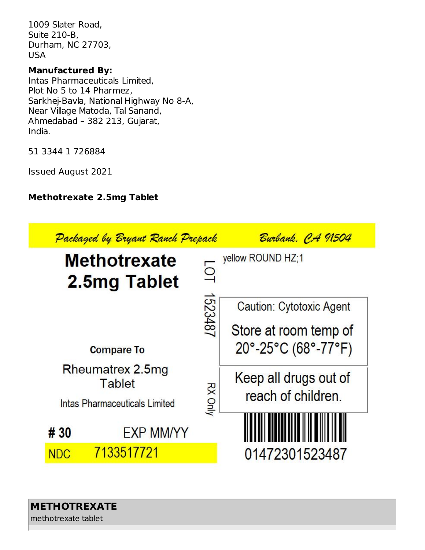1009 Slater Road, Suite 210-B, Durham, NC 27703, USA

#### **Manufactured By:**

Intas Pharmaceuticals Limited, Plot No 5 to 14 Pharmez, Sarkhej-Bavla, National Highway No 8-A, Near Village Matoda, Tal Sanand, Ahmedabad – 382 213, Gujarat, India.

51 3344 1 726884

Issued August 2021

### **Methotrexate 2.5mg Tablet**

|            | Packaged by Bryant Ranch Prepack                                   |                         | Burbank, CA 91504                           |
|------------|--------------------------------------------------------------------|-------------------------|---------------------------------------------|
|            | <b>Methotrexate</b><br>2.5mg Tablet                                | $\overline{\mathsf{Q}}$ | yellow ROUND HZ;1                           |
|            |                                                                    | 1523487                 | <b>Caution: Cytotoxic Agent</b>             |
|            |                                                                    |                         | Store at room temp of                       |
|            | <b>Compare To</b>                                                  |                         | $20^{\circ}$ -25°C (68°-77°F)               |
|            | Rheumatrex 2.5mg<br><b>Tablet</b><br>Intas Pharmaceuticals Limited | <b>RX Only</b>          | Keep all drugs out of<br>reach of children. |
| # 30       | <b>EXP MM/YY</b>                                                   |                         |                                             |
| <b>NDC</b> | 7133517721                                                         |                         | 01472301523487                              |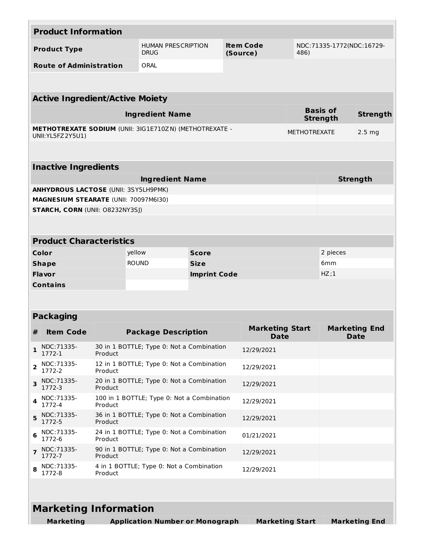|   | <b>Product Information</b>                                                                 |                                                       |                                                               |                              |      |                                       |                     |                 |                                     |
|---|--------------------------------------------------------------------------------------------|-------------------------------------------------------|---------------------------------------------------------------|------------------------------|------|---------------------------------------|---------------------|-----------------|-------------------------------------|
|   | <b>HUMAN PRESCRIPTION</b><br><b>Product Type</b><br><b>DRUG</b>                            |                                                       |                                                               | <b>Item Code</b><br>(Source) | 486) | NDC:71335-1772(NDC:16729-             |                     |                 |                                     |
|   | <b>Route of Administration</b>                                                             |                                                       | ORAL                                                          |                              |      |                                       |                     |                 |                                     |
|   |                                                                                            |                                                       |                                                               |                              |      |                                       |                     |                 |                                     |
|   | <b>Active Ingredient/Active Moiety</b>                                                     |                                                       |                                                               |                              |      |                                       |                     |                 |                                     |
|   |                                                                                            |                                                       | <b>Ingredient Name</b>                                        |                              |      |                                       |                     | <b>Basis of</b> | <b>Strength</b>                     |
|   |                                                                                            |                                                       | <b>METHOTREXATE SODIUM (UNII: 3IG1E710ZN) (METHOTREXATE -</b> |                              |      |                                       |                     | <b>Strength</b> |                                     |
|   | UNII: YL5FZ 2Y5U1)                                                                         |                                                       |                                                               |                              |      |                                       | <b>METHOTREXATE</b> |                 | 2.5 <sub>mg</sub>                   |
|   |                                                                                            |                                                       |                                                               |                              |      |                                       |                     |                 |                                     |
|   | <b>Inactive Ingredients</b>                                                                |                                                       |                                                               |                              |      |                                       |                     |                 |                                     |
|   |                                                                                            |                                                       | <b>Ingredient Name</b>                                        |                              |      |                                       |                     |                 | <b>Strength</b>                     |
|   | <b>ANHYDROUS LACTOSE (UNII: 3SY5LH9PMK)</b><br>MAGNESIUM STEARATE (UNII: 70097M6I30)       |                                                       |                                                               |                              |      |                                       |                     |                 |                                     |
|   | <b>STARCH, CORN (UNII: O8232NY3SJ)</b>                                                     |                                                       |                                                               |                              |      |                                       |                     |                 |                                     |
|   |                                                                                            |                                                       |                                                               |                              |      |                                       |                     |                 |                                     |
|   |                                                                                            |                                                       |                                                               |                              |      |                                       |                     |                 |                                     |
|   | <b>Product Characteristics</b>                                                             |                                                       |                                                               |                              |      |                                       |                     |                 |                                     |
|   | Color                                                                                      |                                                       | yellow                                                        | <b>Score</b>                 |      |                                       | 2 pieces            |                 |                                     |
|   | <b>Shape</b>                                                                               |                                                       | <b>ROUND</b>                                                  | <b>Size</b>                  |      |                                       | 6 <sub>mm</sub>     |                 |                                     |
|   | <b>Flavor</b>                                                                              |                                                       |                                                               | <b>Imprint Code</b>          |      |                                       |                     | HZ;1            |                                     |
|   | <b>Contains</b>                                                                            |                                                       |                                                               |                              |      |                                       |                     |                 |                                     |
|   |                                                                                            |                                                       |                                                               |                              |      |                                       |                     |                 |                                     |
|   | <b>Packaging</b>                                                                           |                                                       |                                                               |                              |      |                                       |                     |                 |                                     |
| # | <b>Item Code</b>                                                                           |                                                       | <b>Package Description</b>                                    |                              |      | <b>Marketing Start</b><br><b>Date</b> |                     |                 | <b>Marketing End</b><br><b>Date</b> |
| 1 | NDC: 71335-<br>1772-1                                                                      | Product                                               | 30 in 1 BOTTLE; Type 0: Not a Combination                     |                              |      | 12/29/2021                            |                     |                 |                                     |
| 2 | NDC:71335-<br>1772-2                                                                       | Product                                               | 12 in 1 BOTTLE; Type 0: Not a Combination                     |                              |      | 12/29/2021                            |                     |                 |                                     |
| 3 | NDC:71335-<br>1772-3                                                                       | Product                                               | 20 in 1 BOTTLE; Type 0: Not a Combination                     |                              |      | 12/29/2021                            |                     |                 |                                     |
| 4 | NDC: 71335-<br>1772-4                                                                      | 100 in 1 BOTTLE; Type 0: Not a Combination<br>Product |                                                               |                              |      | 12/29/2021                            |                     |                 |                                     |
| 5 | NDC: 71335-<br>1772-5                                                                      | 36 in 1 BOTTLE; Type 0: Not a Combination<br>Product  |                                                               |                              |      | 12/29/2021                            |                     |                 |                                     |
| 6 | NDC: 71335-<br>1772-6                                                                      | 24 in 1 BOTTLE; Type 0: Not a Combination<br>Product  |                                                               |                              |      | 01/21/2021                            |                     |                 |                                     |
| 7 | NDC: 71335-<br>1772-7                                                                      | 90 in 1 BOTTLE; Type 0: Not a Combination<br>Product  |                                                               |                              |      | 12/29/2021                            |                     |                 |                                     |
| 8 | 4 in 1 BOTTLE; Type 0: Not a Combination<br>NDC: 71335-<br>12/29/2021<br>1772-8<br>Product |                                                       |                                                               |                              |      |                                       |                     |                 |                                     |
|   |                                                                                            |                                                       |                                                               |                              |      |                                       |                     |                 |                                     |
|   | <b>Marketing Information</b>                                                               |                                                       |                                                               |                              |      |                                       |                     |                 |                                     |
|   | <b>Marketing</b>                                                                           |                                                       | <b>Application Number or Monograph</b>                        |                              |      | <b>Marketing Start</b>                |                     |                 | <b>Marketing End</b>                |
|   |                                                                                            |                                                       |                                                               |                              |      |                                       |                     |                 |                                     |